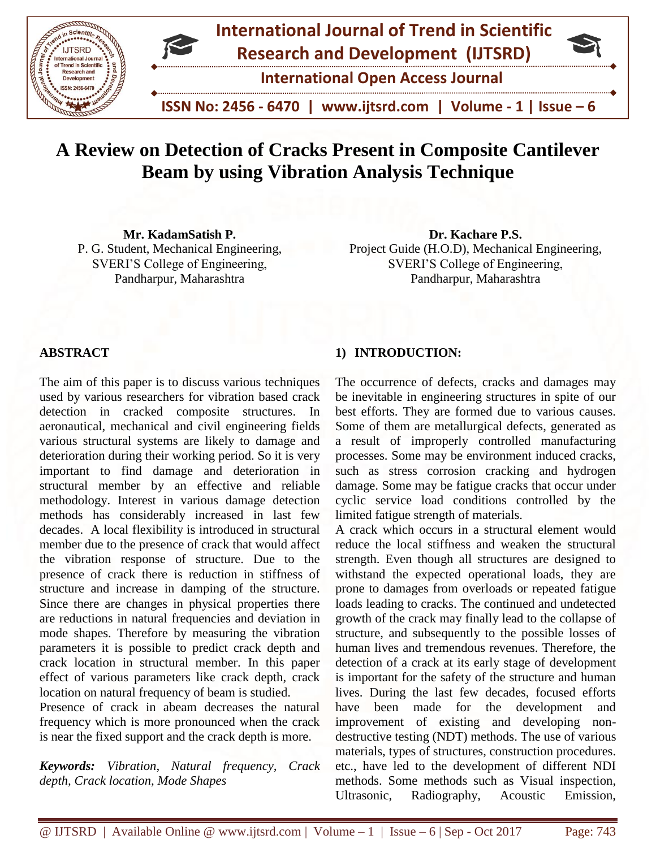

# **A Review on Detection of Cracks Present in Composite Cantilever Beam by using Vibration Analysis Technique**

**Mr. KadamSatish P.** P. G. Student, Mechanical Engineering, SVERI'S College of Engineering, Pandharpur, Maharashtra

**Dr. Kachare P.S.** Project Guide (H.O.D), Mechanical Engineering, SVERI'S College of Engineering, Pandharpur, Maharashtra

## **ABSTRACT**

The aim of this paper is to discuss various techniques used by various researchers for vibration based crack detection in cracked composite structures. In aeronautical, mechanical and civil engineering fields various structural systems are likely to damage and deterioration during their working period. So it is very important to find damage and deterioration in structural member by an effective and reliable methodology. Interest in various damage detection methods has considerably increased in last few decades. A local flexibility is introduced in structural member due to the presence of crack that would affect the vibration response of structure. Due to the presence of crack there is reduction in stiffness of structure and increase in damping of the structure. Since there are changes in physical properties there are reductions in natural frequencies and deviation in mode shapes. Therefore by measuring the vibration parameters it is possible to predict crack depth and crack location in structural member. In this paper effect of various parameters like crack depth, crack location on natural frequency of beam is studied.

Presence of crack in abeam decreases the natural frequency which is more pronounced when the crack is near the fixed support and the crack depth is more.

*Keywords: Vibration, Natural frequency, Crack depth, Crack location, Mode Shapes*

## **1) INTRODUCTION:**

The occurrence of defects, cracks and damages may be inevitable in engineering structures in spite of our best efforts. They are formed due to various causes. Some of them are metallurgical defects, generated as a result of improperly controlled manufacturing processes. Some may be environment induced cracks, such as stress corrosion cracking and hydrogen damage. Some may be fatigue cracks that occur under cyclic service load conditions controlled by the limited fatigue strength of materials.

A crack which occurs in a structural element would reduce the local stiffness and weaken the structural strength. Even though all structures are designed to withstand the expected operational loads, they are prone to damages from overloads or repeated fatigue loads leading to cracks. The continued and undetected growth of the crack may finally lead to the collapse of structure, and subsequently to the possible losses of human lives and tremendous revenues. Therefore, the detection of a crack at its early stage of development is important for the safety of the structure and human lives. During the last few decades, focused efforts have been made for the development and improvement of existing and developing nondestructive testing (NDT) methods. The use of various materials, types of structures, construction procedures. etc., have led to the development of different NDI methods. Some methods such as Visual inspection, Ultrasonic, Radiography, Acoustic Emission,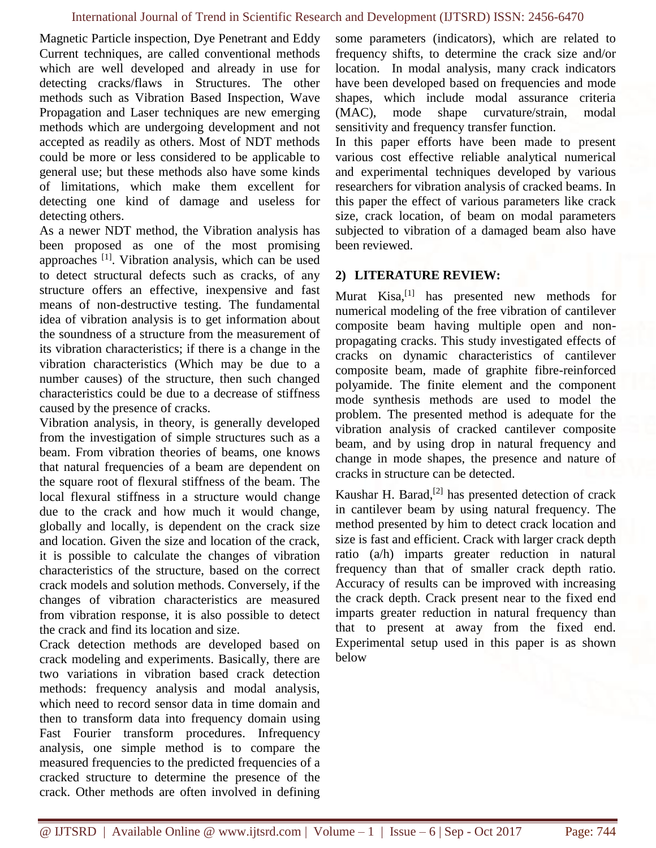Magnetic Particle inspection, Dye Penetrant and Eddy Current techniques, are called conventional methods which are well developed and already in use for detecting cracks/flaws in Structures. The other methods such as Vibration Based Inspection, Wave Propagation and Laser techniques are new emerging methods which are undergoing development and not accepted as readily as others. Most of NDT methods could be more or less considered to be applicable to general use; but these methods also have some kinds of limitations, which make them excellent for detecting one kind of damage and useless for detecting others.

As a newer NDT method, the Vibration analysis has been proposed as one of the most promising approaches [1]. Vibration analysis, which can be used to detect structural defects such as cracks, of any structure offers an effective, inexpensive and fast means of non-destructive testing. The fundamental idea of vibration analysis is to get information about the soundness of a structure from the measurement of its vibration characteristics; if there is a change in the vibration characteristics (Which may be due to a number causes) of the structure, then such changed characteristics could be due to a decrease of stiffness caused by the presence of cracks.

Vibration analysis, in theory, is generally developed from the investigation of simple structures such as a beam. From vibration theories of beams, one knows that natural frequencies of a beam are dependent on the square root of flexural stiffness of the beam. The local flexural stiffness in a structure would change due to the crack and how much it would change, globally and locally, is dependent on the crack size and location. Given the size and location of the crack, it is possible to calculate the changes of vibration characteristics of the structure, based on the correct crack models and solution methods. Conversely, if the changes of vibration characteristics are measured from vibration response, it is also possible to detect the crack and find its location and size.

Crack detection methods are developed based on crack modeling and experiments. Basically, there are two variations in vibration based crack detection methods: frequency analysis and modal analysis, which need to record sensor data in time domain and then to transform data into frequency domain using Fast Fourier transform procedures. Infrequency analysis, one simple method is to compare the measured frequencies to the predicted frequencies of a cracked structure to determine the presence of the crack. Other methods are often involved in defining

some parameters (indicators), which are related to frequency shifts, to determine the crack size and/or location. In modal analysis, many crack indicators have been developed based on frequencies and mode shapes, which include modal assurance criteria (MAC), mode shape curvature/strain, modal sensitivity and frequency transfer function.

In this paper efforts have been made to present various cost effective reliable analytical numerical and experimental techniques developed by various researchers for vibration analysis of cracked beams. In this paper the effect of various parameters like crack size, crack location, of beam on modal parameters subjected to vibration of a damaged beam also have been reviewed.

### **2) LITERATURE REVIEW:**

Murat Kisa, $^{[1]}$  has presented new methods for numerical modeling of the free vibration of cantilever composite beam having multiple open and nonpropagating cracks. This study investigated effects of cracks on dynamic characteristics of cantilever composite beam, made of graphite fibre-reinforced polyamide. The finite element and the component mode synthesis methods are used to model the problem. The presented method is adequate for the vibration analysis of cracked cantilever composite beam, and by using drop in natural frequency and change in mode shapes, the presence and nature of cracks in structure can be detected.

Kaushar H. Barad, $^{[2]}$  has presented detection of crack in cantilever beam by using natural frequency. The method presented by him to detect crack location and size is fast and efficient. Crack with larger crack depth ratio (a/h) imparts greater reduction in natural frequency than that of smaller crack depth ratio. Accuracy of results can be improved with increasing the crack depth. Crack present near to the fixed end imparts greater reduction in natural frequency than that to present at away from the fixed end. Experimental setup used in this paper is as shown below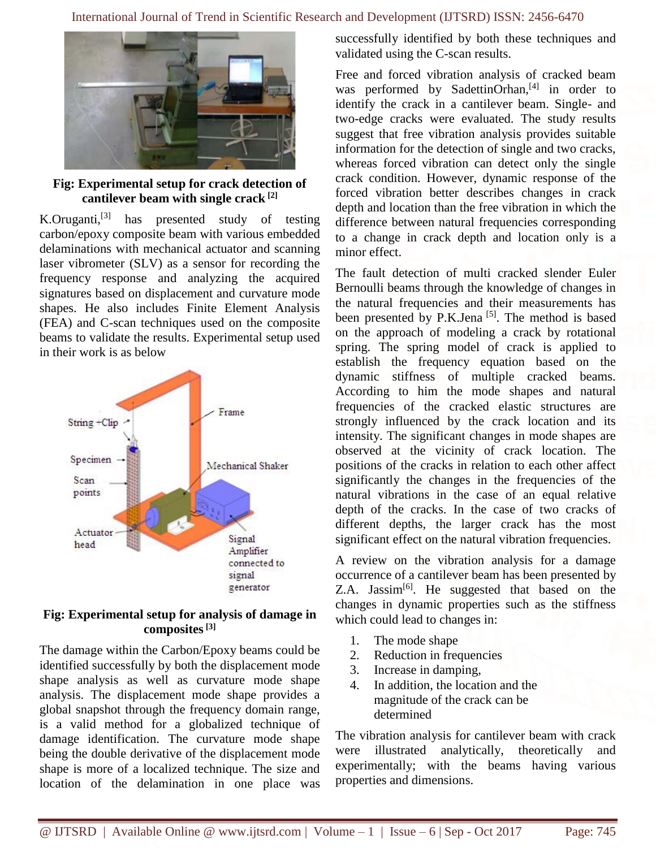

**Fig: Experimental setup for crack detection of cantilever beam with single crack [2]**

K.Oruganti,<sup>[3]</sup> has presented study of testing carbon/epoxy composite beam with various embedded delaminations with mechanical actuator and scanning laser vibrometer (SLV) as a sensor for recording the frequency response and analyzing the acquired signatures based on displacement and curvature mode shapes. He also includes Finite Element Analysis (FEA) and C-scan techniques used on the composite beams to validate the results. Experimental setup used in their work is as below



#### **Fig: Experimental setup for analysis of damage in composites[3]**

The damage within the Carbon/Epoxy beams could be identified successfully by both the displacement mode shape analysis as well as curvature mode shape analysis. The displacement mode shape provides a global snapshot through the frequency domain range, is a valid method for a globalized technique of damage identification. The curvature mode shape being the double derivative of the displacement mode shape is more of a localized technique. The size and location of the delamination in one place was successfully identified by both these techniques and validated using the C-scan results.

Free and forced vibration analysis of cracked beam was performed by SadettinOrhan, $[4]$  in order to identify the crack in a cantilever beam. Single- and two-edge cracks were evaluated. The study results suggest that free vibration analysis provides suitable information for the detection of single and two cracks, whereas forced vibration can detect only the single crack condition. However, dynamic response of the forced vibration better describes changes in crack depth and location than the free vibration in which the difference between natural frequencies corresponding to a change in crack depth and location only is a minor effect.

The fault detection of multi cracked slender Euler Bernoulli beams through the knowledge of changes in the natural frequencies and their measurements has been presented by  $P.K.Jena$ <sup>[5]</sup>. The method is based on the approach of modeling a crack by rotational spring. The spring model of crack is applied to establish the frequency equation based on the dynamic stiffness of multiple cracked beams. According to him the mode shapes and natural frequencies of the cracked elastic structures are strongly influenced by the crack location and its intensity. The significant changes in mode shapes are observed at the vicinity of crack location. The positions of the cracks in relation to each other affect significantly the changes in the frequencies of the natural vibrations in the case of an equal relative depth of the cracks. In the case of two cracks of different depths, the larger crack has the most significant effect on the natural vibration frequencies.

A review on the vibration analysis for a damage occurrence of a cantilever beam has been presented by Z.A. Jassim<sup>[6]</sup>. He suggested that based on the changes in dynamic properties such as the stiffness which could lead to changes in:

- 1. The mode shape
- 2. Reduction in frequencies
- 3. Increase in damping,
- 4. In addition, the location and the magnitude of the crack can be determined

The vibration analysis for cantilever beam with crack were illustrated analytically, theoretically and experimentally; with the beams having various properties and dimensions.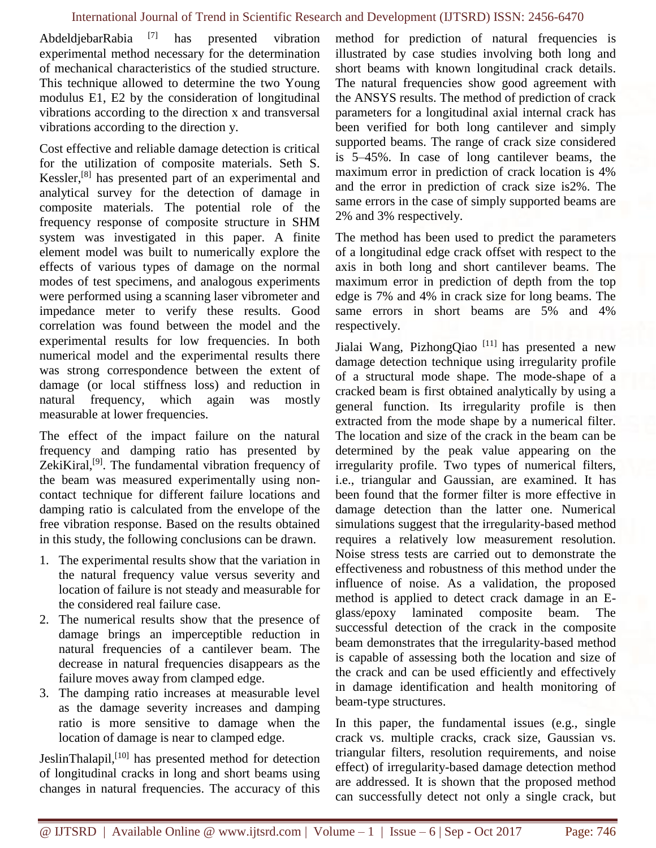#### International Journal of Trend in Scientific Research and Development (IJTSRD) ISSN: 2456-6470

AbdeldjebarRabia [7] has presented vibration experimental method necessary for the determination of mechanical characteristics of the studied structure. This technique allowed to determine the two Young modulus E1, E2 by the consideration of longitudinal vibrations according to the direction x and transversal vibrations according to the direction y.

Cost effective and reliable damage detection is critical for the utilization of composite materials. Seth S. Kessler,[8] has presented part of an experimental and analytical survey for the detection of damage in composite materials. The potential role of the frequency response of composite structure in SHM system was investigated in this paper. A finite element model was built to numerically explore the effects of various types of damage on the normal modes of test specimens, and analogous experiments were performed using a scanning laser vibrometer and impedance meter to verify these results. Good correlation was found between the model and the experimental results for low frequencies. In both numerical model and the experimental results there was strong correspondence between the extent of damage (or local stiffness loss) and reduction in natural frequency, which again was mostly measurable at lower frequencies.

The effect of the impact failure on the natural frequency and damping ratio has presented by ZekiKiral, $[9]$ . The fundamental vibration frequency of the beam was measured experimentally using noncontact technique for different failure locations and damping ratio is calculated from the envelope of the free vibration response. Based on the results obtained in this study, the following conclusions can be drawn.

- 1. The experimental results show that the variation in the natural frequency value versus severity and location of failure is not steady and measurable for the considered real failure case.
- 2. The numerical results show that the presence of damage brings an imperceptible reduction in natural frequencies of a cantilever beam. The decrease in natural frequencies disappears as the failure moves away from clamped edge.
- 3. The damping ratio increases at measurable level as the damage severity increases and damping ratio is more sensitive to damage when the location of damage is near to clamped edge.

JeslinThalapil,[10] has presented method for detection of longitudinal cracks in long and short beams using changes in natural frequencies. The accuracy of this method for prediction of natural frequencies is illustrated by case studies involving both long and short beams with known longitudinal crack details. The natural frequencies show good agreement with the ANSYS results. The method of prediction of crack parameters for a longitudinal axial internal crack has been verified for both long cantilever and simply supported beams. The range of crack size considered is 5–45%. In case of long cantilever beams, the maximum error in prediction of crack location is 4% and the error in prediction of crack size is2%. The same errors in the case of simply supported beams are 2% and 3% respectively.

The method has been used to predict the parameters of a longitudinal edge crack offset with respect to the axis in both long and short cantilever beams. The maximum error in prediction of depth from the top edge is 7% and 4% in crack size for long beams. The same errors in short beams are 5% and 4% respectively.

Jialai Wang, PizhongQiao [11] has presented a new damage detection technique using irregularity profile of a structural mode shape. The mode-shape of a cracked beam is first obtained analytically by using a general function. Its irregularity profile is then extracted from the mode shape by a numerical filter. The location and size of the crack in the beam can be determined by the peak value appearing on the irregularity profile. Two types of numerical filters, i.e., triangular and Gaussian, are examined. It has been found that the former filter is more effective in damage detection than the latter one. Numerical simulations suggest that the irregularity-based method requires a relatively low measurement resolution. Noise stress tests are carried out to demonstrate the effectiveness and robustness of this method under the influence of noise. As a validation, the proposed method is applied to detect crack damage in an Eglass/epoxy laminated composite beam. The successful detection of the crack in the composite beam demonstrates that the irregularity-based method is capable of assessing both the location and size of the crack and can be used efficiently and effectively in damage identification and health monitoring of beam-type structures.

In this paper, the fundamental issues (e.g., single crack vs. multiple cracks, crack size, Gaussian vs. triangular filters, resolution requirements, and noise effect) of irregularity-based damage detection method are addressed. It is shown that the proposed method can successfully detect not only a single crack, but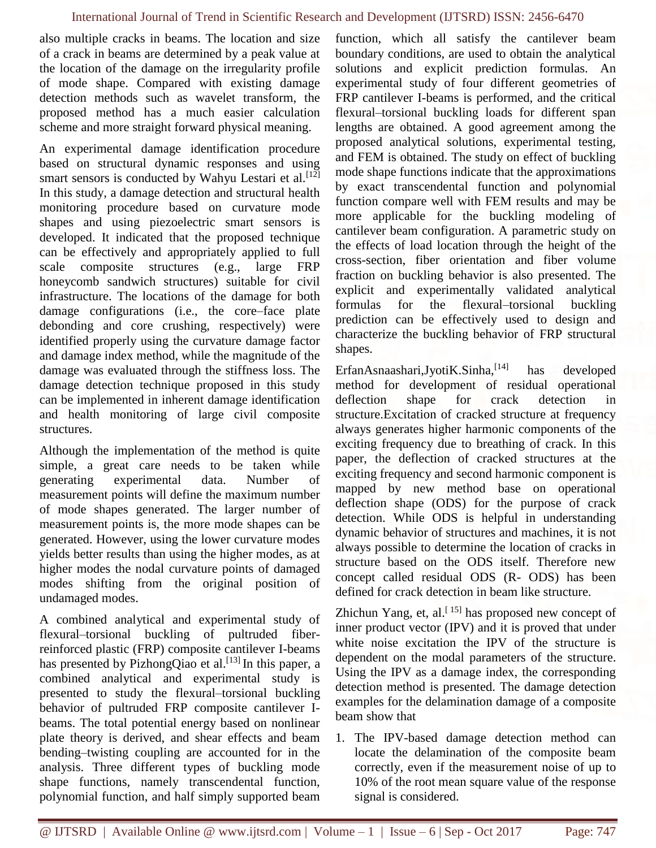also multiple cracks in beams. The location and size of a crack in beams are determined by a peak value at the location of the damage on the irregularity profile of mode shape. Compared with existing damage detection methods such as wavelet transform, the proposed method has a much easier calculation scheme and more straight forward physical meaning.

An experimental damage identification procedure based on structural dynamic responses and using smart sensors is conducted by Wahyu Lestari et al.<sup>[12]</sup> In this study, a damage detection and structural health monitoring procedure based on curvature mode shapes and using piezoelectric smart sensors is developed. It indicated that the proposed technique can be effectively and appropriately applied to full scale composite structures (e.g., large FRP honeycomb sandwich structures) suitable for civil infrastructure. The locations of the damage for both damage configurations (i.e., the core–face plate debonding and core crushing, respectively) were identified properly using the curvature damage factor and damage index method, while the magnitude of the damage was evaluated through the stiffness loss. The damage detection technique proposed in this study can be implemented in inherent damage identification and health monitoring of large civil composite structures.

Although the implementation of the method is quite simple, a great care needs to be taken while generating experimental data. Number of measurement points will define the maximum number of mode shapes generated. The larger number of measurement points is, the more mode shapes can be generated. However, using the lower curvature modes yields better results than using the higher modes, as at higher modes the nodal curvature points of damaged modes shifting from the original position of undamaged modes.

A combined analytical and experimental study of flexural–torsional buckling of pultruded fiberreinforced plastic (FRP) composite cantilever I-beams has presented by PizhongQiao et al.<sup>[13]</sup> In this paper, a combined analytical and experimental study is presented to study the flexural–torsional buckling behavior of pultruded FRP composite cantilever Ibeams. The total potential energy based on nonlinear plate theory is derived, and shear effects and beam bending–twisting coupling are accounted for in the analysis. Three different types of buckling mode shape functions, namely transcendental function, polynomial function, and half simply supported beam function, which all satisfy the cantilever beam boundary conditions, are used to obtain the analytical solutions and explicit prediction formulas. An experimental study of four different geometries of FRP cantilever I-beams is performed, and the critical flexural–torsional buckling loads for different span lengths are obtained. A good agreement among the proposed analytical solutions, experimental testing, and FEM is obtained. The study on effect of buckling mode shape functions indicate that the approximations by exact transcendental function and polynomial function compare well with FEM results and may be more applicable for the buckling modeling of cantilever beam configuration. A parametric study on the effects of load location through the height of the cross-section, fiber orientation and fiber volume fraction on buckling behavior is also presented. The explicit and experimentally validated analytical formulas for the flexural–torsional buckling prediction can be effectively used to design and characterize the buckling behavior of FRP structural shapes.

ErfanAsnaashari,JyotiK.Sinha, $^{[14]}$  has developed method for development of residual operational deflection shape for crack detection structure.Excitation of cracked structure at frequency always generates higher harmonic components of the exciting frequency due to breathing of crack. In this paper, the deflection of cracked structures at the exciting frequency and second harmonic component is mapped by new method base on operational deflection shape (ODS) for the purpose of crack detection. While ODS is helpful in understanding dynamic behavior of structures and machines, it is not always possible to determine the location of cracks in structure based on the ODS itself. Therefore new concept called residual ODS (R- ODS) has been defined for crack detection in beam like structure.

Zhichun Yang, et, al. $[15]$  has proposed new concept of inner product vector (IPV) and it is proved that under white noise excitation the IPV of the structure is dependent on the modal parameters of the structure. Using the IPV as a damage index, the corresponding detection method is presented. The damage detection examples for the delamination damage of a composite beam show that

1. The IPV-based damage detection method can locate the delamination of the composite beam correctly, even if the measurement noise of up to 10% of the root mean square value of the response signal is considered.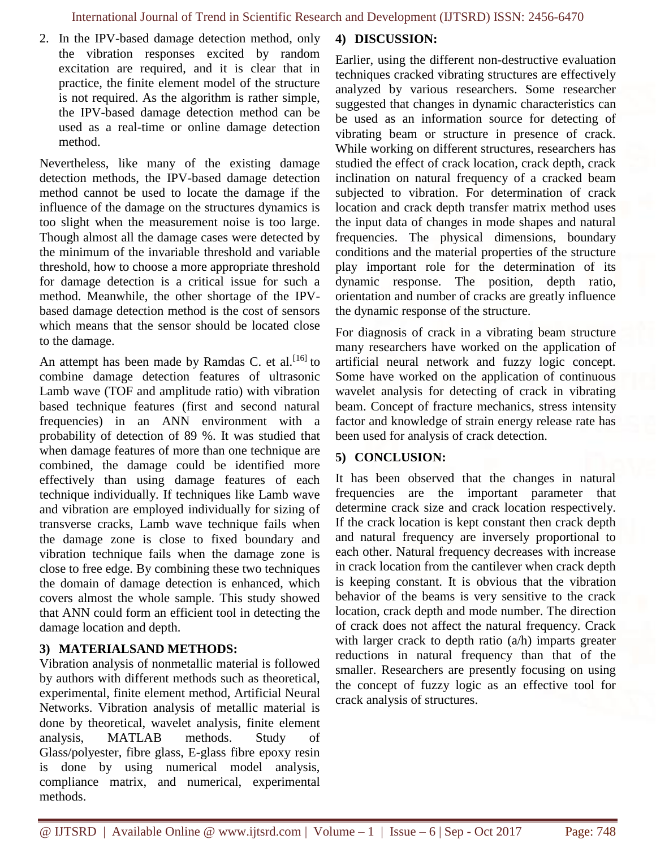2. In the IPV-based damage detection method, only the vibration responses excited by random excitation are required, and it is clear that in practice, the finite element model of the structure is not required. As the algorithm is rather simple, the IPV-based damage detection method can be used as a real-time or online damage detection method.

Nevertheless, like many of the existing damage detection methods, the IPV-based damage detection method cannot be used to locate the damage if the influence of the damage on the structures dynamics is too slight when the measurement noise is too large. Though almost all the damage cases were detected by the minimum of the invariable threshold and variable threshold, how to choose a more appropriate threshold for damage detection is a critical issue for such a method. Meanwhile, the other shortage of the IPVbased damage detection method is the cost of sensors which means that the sensor should be located close to the damage.

An attempt has been made by Ramdas C. et al.  $[16]$  to combine damage detection features of ultrasonic Lamb wave (TOF and amplitude ratio) with vibration based technique features (first and second natural frequencies) in an ANN environment with a probability of detection of 89 %. It was studied that when damage features of more than one technique are combined, the damage could be identified more effectively than using damage features of each technique individually. If techniques like Lamb wave and vibration are employed individually for sizing of transverse cracks, Lamb wave technique fails when the damage zone is close to fixed boundary and vibration technique fails when the damage zone is close to free edge. By combining these two techniques the domain of damage detection is enhanced, which covers almost the whole sample. This study showed that ANN could form an efficient tool in detecting the damage location and depth.

#### **3) MATERIALSAND METHODS:**

Vibration analysis of nonmetallic material is followed by authors with different methods such as theoretical, experimental, finite element method, Artificial Neural Networks. Vibration analysis of metallic material is done by theoretical, wavelet analysis, finite element analysis, MATLAB methods. Study Glass/polyester, fibre glass, E-glass fibre epoxy resin is done by using numerical model analysis, compliance matrix, and numerical, experimental methods.

## **4) DISCUSSION:**

Earlier, using the different non-destructive evaluation techniques cracked vibrating structures are effectively analyzed by various researchers. Some researcher suggested that changes in dynamic characteristics can be used as an information source for detecting of vibrating beam or structure in presence of crack. While working on different structures, researchers has studied the effect of crack location, crack depth, crack inclination on natural frequency of a cracked beam subjected to vibration. For determination of crack location and crack depth transfer matrix method uses the input data of changes in mode shapes and natural frequencies. The physical dimensions, boundary conditions and the material properties of the structure play important role for the determination of its dynamic response. The position, depth ratio, orientation and number of cracks are greatly influence the dynamic response of the structure.

For diagnosis of crack in a vibrating beam structure many researchers have worked on the application of artificial neural network and fuzzy logic concept. Some have worked on the application of continuous wavelet analysis for detecting of crack in vibrating beam. Concept of fracture mechanics, stress intensity factor and knowledge of strain energy release rate has been used for analysis of crack detection.

## **5) CONCLUSION:**

It has been observed that the changes in natural frequencies are the important parameter that determine crack size and crack location respectively. If the crack location is kept constant then crack depth and natural frequency are inversely proportional to each other. Natural frequency decreases with increase in crack location from the cantilever when crack depth is keeping constant. It is obvious that the vibration behavior of the beams is very sensitive to the crack location, crack depth and mode number. The direction of crack does not affect the natural frequency. Crack with larger crack to depth ratio (a/h) imparts greater reductions in natural frequency than that of the smaller. Researchers are presently focusing on using the concept of fuzzy logic as an effective tool for crack analysis of structures.